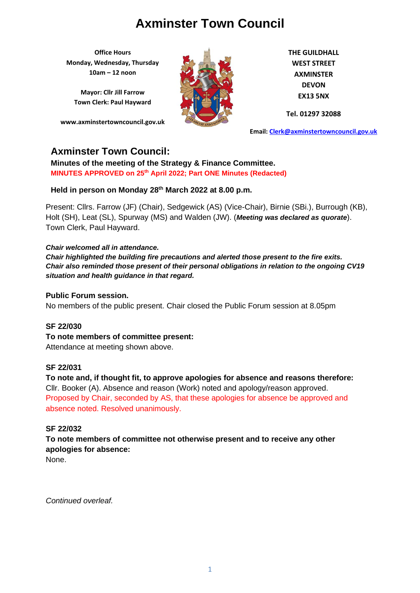**Office Hours Monday, Wednesday, Thursday 10am – 12 noon**

**Mayor: Cllr Jill Farrow Town Clerk: Paul Hayward**

**www.axminstertowncouncil.gov.uk**



**THE GUILDHALL WEST STREET AXMINSTER DEVON EX13 5NX**

**Tel. 01297 32088**

**Email: [Clerk@axminstertowncouncil.gov.uk](file://///axm-svr-1/company/Templates/Clerk@axminstertowncouncil.gov.uk)**

# **Axminster Town Council:**

**Minutes of the meeting of the Strategy & Finance Committee. MINUTES APPROVED on 25th April 2022; Part ONE Minutes (Redacted)**

### **Held in person on Monday 28th March 2022 at 8.00 p.m.**

Present: Cllrs. Farrow (JF) (Chair), Sedgewick (AS) (Vice-Chair), Birnie (SBi.), Burrough (KB), Holt (SH), Leat (SL), Spurway (MS) and Walden (JW). (*Meeting was declared as quorate*). Town Clerk, Paul Hayward.

#### *Chair welcomed all in attendance.*

*Chair highlighted the building fire precautions and alerted those present to the fire exits. Chair also reminded those present of their personal obligations in relation to the ongoing CV19 situation and health guidance in that regard.*

#### **Public Forum session.**

No members of the public present. Chair closed the Public Forum session at 8.05pm

### **SF 22/030**

**To note members of committee present:** Attendance at meeting shown above.

### **SF 22/031**

**To note and, if thought fit, to approve apologies for absence and reasons therefore:** Cllr. Booker (A). Absence and reason (Work) noted and apology/reason approved. Proposed by Chair, seconded by AS, that these apologies for absence be approved and absence noted. Resolved unanimously.

### **SF 22/032**

# **To note members of committee not otherwise present and to receive any other apologies for absence:**

None.

*Continued overleaf.*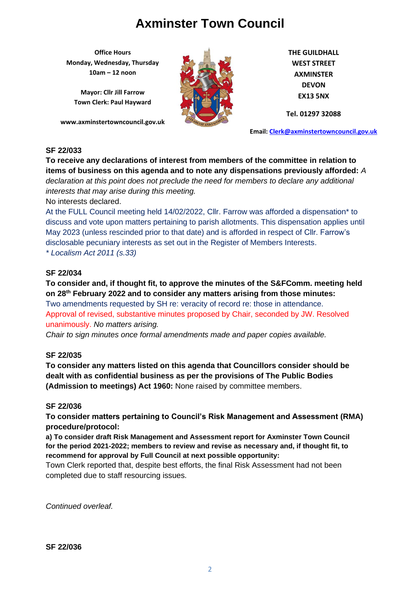**Office Hours Monday, Wednesday, Thursday 10am – 12 noon**

**Mayor: Cllr Jill Farrow Town Clerk: Paul Hayward**

**www.axminstertowncouncil.gov.uk**



**THE GUILDHALL WEST STREET AXMINSTER DEVON EX13 5NX**

**Tel. 01297 32088**

**Email: [Clerk@axminstertowncouncil.gov.uk](file://///axm-svr-1/company/Templates/Clerk@axminstertowncouncil.gov.uk)**

### **SF 22/033**

**To receive any declarations of interest from members of the committee in relation to items of business on this agenda and to note any dispensations previously afforded:** *A declaration at this point does not preclude the need for members to declare any additional interests that may arise during this meeting.*

No interests declared.

At the FULL Council meeting held 14/02/2022, Cllr. Farrow was afforded a dispensation\* to discuss and vote upon matters pertaining to parish allotments. This dispensation applies until May 2023 (unless rescinded prior to that date) and is afforded in respect of Cllr. Farrow's disclosable pecuniary interests as set out in the Register of Members Interests.

*\* Localism Act 2011 (s.33)*

### **SF 22/034**

# **To consider and, if thought fit, to approve the minutes of the S&FComm. meeting held on 28th February 2022 and to consider any matters arising from those minutes:**

Two amendments requested by SH re: veracity of record re: those in attendance. Approval of revised, substantive minutes proposed by Chair, seconded by JW. Resolved unanimously. *No matters arising.*

*Chair to sign minutes once formal amendments made and paper copies available.*

### **SF 22/035**

**To consider any matters listed on this agenda that Councillors consider should be dealt with as confidential business as per the provisions of The Public Bodies (Admission to meetings) Act 1960:** None raised by committee members.

### **SF 22/036**

**To consider matters pertaining to Council's Risk Management and Assessment (RMA) procedure/protocol:**

**a) To consider draft Risk Management and Assessment report for Axminster Town Council for the period 2021-2022; members to review and revise as necessary and, if thought fit, to recommend for approval by Full Council at next possible opportunity:**

Town Clerk reported that, despite best efforts, the final Risk Assessment had not been completed due to staff resourcing issues.

*Continued overleaf.*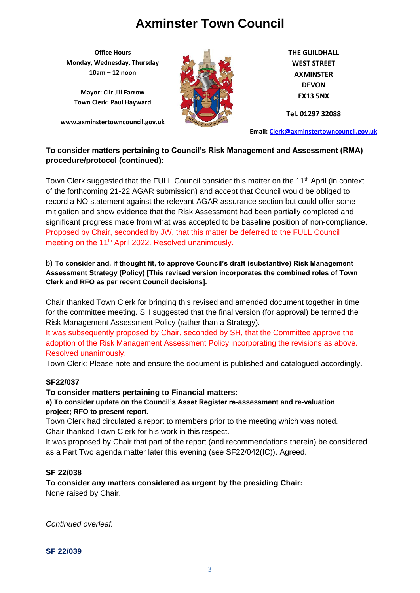**Office Hours Monday, Wednesday, Thursday 10am – 12 noon**

**Mayor: Cllr Jill Farrow Town Clerk: Paul Hayward**

**www.axminstertowncouncil.gov.uk**



**THE GUILDHALL WEST STREET AXMINSTER DEVON EX13 5NX**

**Tel. 01297 32088**

**Email: [Clerk@axminstertowncouncil.gov.uk](file://///axm-svr-1/company/Templates/Clerk@axminstertowncouncil.gov.uk)**

# **To consider matters pertaining to Council's Risk Management and Assessment (RMA) procedure/protocol (continued):**

of the forthcoming 21-22 AGAR submission) and accept that Council would be obliged to Town Clerk suggested that the FULL Council consider this matter on the 11<sup>th</sup> April (in context record a NO statement against the relevant AGAR assurance section but could offer some mitigation and show evidence that the Risk Assessment had been partially completed and significant progress made from what was accepted to be baseline position of non-compliance. Proposed by Chair, seconded by JW, that this matter be deferred to the FULL Council meeting on the 11<sup>th</sup> April 2022. Resolved unanimously.

# b) **To consider and, if thought fit, to approve Council's draft (substantive) Risk Management Assessment Strategy (Policy) [This revised version incorporates the combined roles of Town Clerk and RFO as per recent Council decisions].**

Chair thanked Town Clerk for bringing this revised and amended document together in time for the committee meeting. SH suggested that the final version (for approval) be termed the Risk Management Assessment Policy (rather than a Strategy).

It was subsequently proposed by Chair, seconded by SH, that the Committee approve the adoption of the Risk Management Assessment Policy incorporating the revisions as above. Resolved unanimously.

Town Clerk: Please note and ensure the document is published and catalogued accordingly.

# **SF22/037**

### **To consider matters pertaining to Financial matters:**

### **a) To consider update on the Council's Asset Register re-assessment and re-valuation project; RFO to present report.**

Town Clerk had circulated a report to members prior to the meeting which was noted. Chair thanked Town Clerk for his work in this respect.

It was proposed by Chair that part of the report (and recommendations therein) be considered as a Part Two agenda matter later this evening (see SF22/042(IC)). Agreed.

### **SF 22/038**

**To consider any matters considered as urgent by the presiding Chair:** None raised by Chair.

*Continued overleaf.*

**SF 22/039**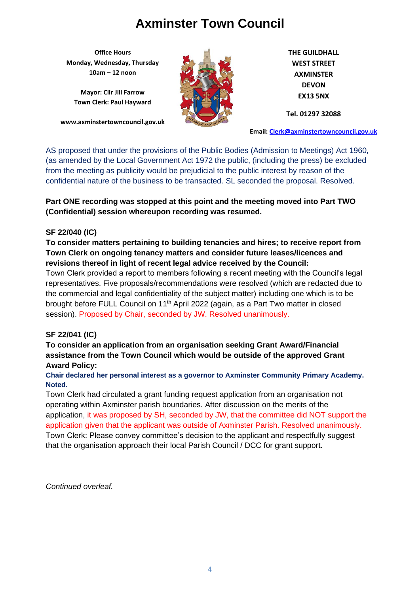**Office Hours Monday, Wednesday, Thursday 10am – 12 noon**

**Mayor: Cllr Jill Farrow Town Clerk: Paul Hayward**

**www.axminstertowncouncil.gov.uk**



**THE GUILDHALL WEST STREET AXMINSTER DEVON EX13 5NX**

**Tel. 01297 32088**

**Email: [Clerk@axminstertowncouncil.gov.uk](file://///axm-svr-1/company/Templates/Clerk@axminstertowncouncil.gov.uk)**

AS proposed that under the provisions of the Public Bodies (Admission to Meetings) Act 1960, (as amended by the Local Government Act 1972 the public, (including the press) be excluded from the meeting as publicity would be prejudicial to the public interest by reason of the confidential nature of the business to be transacted. SL seconded the proposal. Resolved.

**TEL:** 0.298 **Part ONE recording was stopped at this point and the meeting moved into Part TWO (Confidential) session whereupon recording was resumed.**

### **SF 22/040 (IC)**

**To consider matters pertaining to building tenancies and hires; to receive report from Town Clerk on ongoing tenancy matters and consider future leases/licences and revisions thereof in light of recent legal advice received by the Council:**

Town Clerk provided a report to members following a recent meeting with the Council's legal representatives. Five proposals/recommendations were resolved (which are redacted due to the commercial and legal confidentiality of the subject matter) including one which is to be brought before FULL Council on 11<sup>th</sup> April 2022 (again, as a Part Two matter in closed session). Proposed by Chair, seconded by JW. Resolved unanimously.

# **SF 22/041 (IC)**

# **To consider an application from an organisation seeking Grant Award/Financial assistance from the Town Council which would be outside of the approved Grant Award Policy:**

### **Chair declared her personal interest as a governor to Axminster Community Primary Academy. Noted.**

Town Clerk had circulated a grant funding request application from an organisation not operating within Axminster parish boundaries. After discussion on the merits of the application, it was proposed by SH, seconded by JW, that the committee did NOT support the application given that the applicant was outside of Axminster Parish. Resolved unanimously. Town Clerk: Please convey committee's decision to the applicant and respectfully suggest that the organisation approach their local Parish Council / DCC for grant support.

*Continued overleaf.*